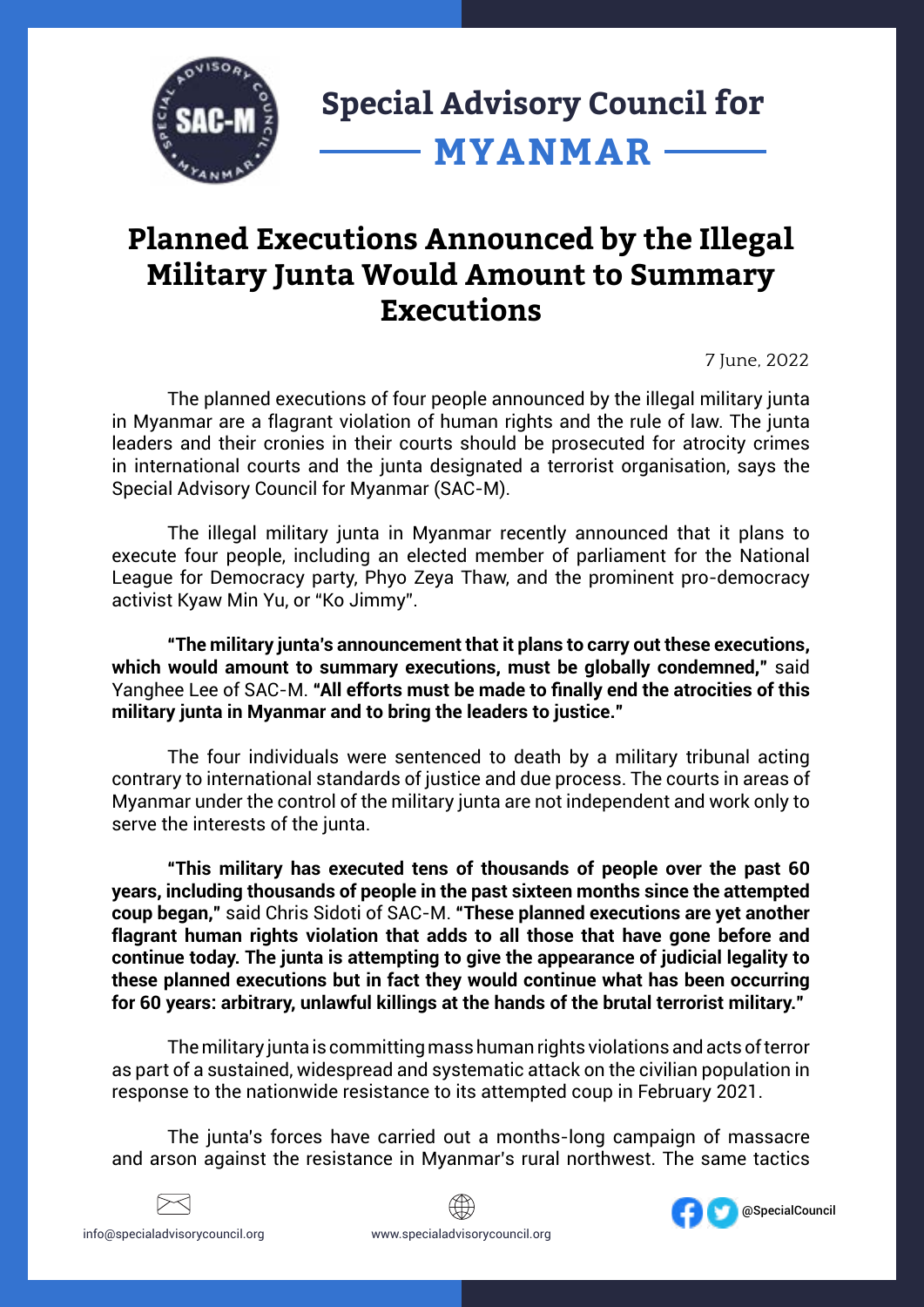

## **Planned Executions Announced by the Illegal Military Junta Would Amount to Summary Executions**

7 June, 2022

The planned executions of four people announced by the illegal military junta in Myanmar are a flagrant violation of human rights and the rule of law. The junta leaders and their cronies in their courts should be prosecuted for atrocity crimes in international courts and the junta designated a terrorist organisation, says the Special Advisory Council for Myanmar (SAC-M).

The illegal military junta in Myanmar recently announced that it plans to execute four people, including an elected member of parliament for the National League for Democracy party, Phyo Zeya Thaw, and the prominent pro-democracy activist Kyaw Min Yu, or "Ko Jimmy".

**"The military junta's announcement that it plans to carry out these executions, which would amount to summary executions, must be globally condemned,"** said Yanghee Lee of SAC-M. **"All efforts must be made to finally end the atrocities of this military junta in Myanmar and to bring the leaders to justice."**

The four individuals were sentenced to death by a military tribunal acting contrary to international standards of justice and due process. The courts in areas of Myanmar under the control of the military junta are not independent and work only to serve the interests of the junta.

**"This military has executed tens of thousands of people over the past 60 years, including thousands of people in the past sixteen months since the attempted coup began,"** said Chris Sidoti of SAC-M. **"These planned executions are yet another flagrant human rights violation that adds to all those that have gone before and continue today. The junta is attempting to give the appearance of judicial legality to these planned executions but in fact they would continue what has been occurring for 60 years: arbitrary, unlawful killings at the hands of the brutal terrorist military."**

The military junta is committing mass human rights violations and acts of terror as part of a sustained, widespread and systematic attack on the civilian population in response to the nationwide resistance to its attempted coup in February 2021.

The junta's forces have carried out a months-long campaign of massacre and arson against the resistance in Myanmar's rural northwest. The same tactics